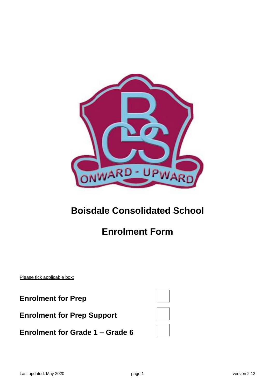

# **Boisdale Consolidated School**

# **Enrolment Form**

Please tick applicable box:

**Enrolment for Prep**

| <b>Enrolment for Grade 1 – Grade 6</b> |  |  |  |  |
|----------------------------------------|--|--|--|--|
|----------------------------------------|--|--|--|--|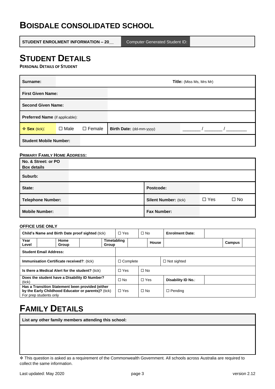### **BOISDALE CONSOLIDATED SCHOOL**

**STUDENT ENROLMENT INFORMATION – 20\_\_** Computer Generated Student ID:

# **STUDENT DETAILS**

**PERSONAL DETAILS OF STUDENT**

| Surname:                        | <b>Title:</b> (Miss Ms, Mrs Mr) |                  |                          |  |  |  |
|---------------------------------|---------------------------------|------------------|--------------------------|--|--|--|
| <b>First Given Name:</b>        |                                 |                  |                          |  |  |  |
| <b>Second Given Name:</b>       |                                 |                  |                          |  |  |  |
| Preferred Name (if applicable): |                                 |                  |                          |  |  |  |
| ❖ Sex (tick):                   | $\Box$ Male                     | $\square$ Female | Birth Date: (dd-mm-yyyy) |  |  |  |
| <b>Student Mobile Number:</b>   |                                 |                  |                          |  |  |  |

#### **PRIMARY FAMILY HOME ADDRESS:**

| No. & Street: or PO<br><b>Box details</b> |                              |            |              |
|-------------------------------------------|------------------------------|------------|--------------|
| Suburb:                                   |                              |            |              |
| State:                                    | Postcode:                    |            |              |
| <b>Telephone Number:</b>                  | <b>Silent Number: (tick)</b> | $\Box$ Yes | $\square$ No |
| <b>Mobile Number:</b>                     | <b>Fax Number:</b>           |            |              |

#### **OFFICE USE ONLY**

| Child's Name and Birth Date proof sighted (tick)        |                        |                                                                                                         | $\Box$ Yes           | $\Box$ No  |           | <b>Enrolment Date:</b> |                |        |
|---------------------------------------------------------|------------------------|---------------------------------------------------------------------------------------------------------|----------------------|------------|-----------|------------------------|----------------|--------|
| Year<br>Level                                           |                        | Home<br>Group                                                                                           | Timetabling<br>Group |            |           | House                  |                | Campus |
| <b>Student Email Address:</b>                           |                        |                                                                                                         |                      |            |           |                        |                |        |
| <b>Immunisation Certificate received?: (tick)</b>       |                        |                                                                                                         | $\Box$ Complete      |            |           | $\Box$ Not sighted     |                |        |
| Is there a Medical Alert for the student? (tick)        |                        |                                                                                                         | $\Box$ Yes           | $\Box$ No  |           |                        |                |        |
| Does the student have a Disability ID Number?<br>(tick) |                        |                                                                                                         | $\Box$ No            | $\Box$ Yes |           | Disability ID No.:     |                |        |
|                                                         | For prep students only | Has a Transition Statement been provided (either<br>by the Early Childhood Educator or parents)? (tick) |                      | $\Box$ Yes | $\Box$ No |                        | $\Box$ Pending |        |

### **FAMILY DETAILS**

**List any other family members attending this school:**

<sup>❖</sup> This question is asked as a requirement of the Commonwealth Government. All schools across Australia are required to collect the same information.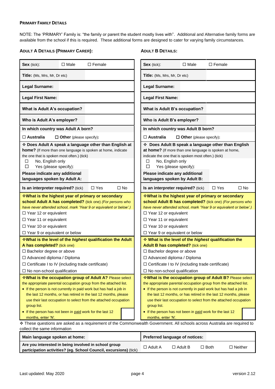#### **PRIMARY FAMILY DETAILS**

NOTE: The 'PRIMARY' Family is: "the family or parent the student mostly lives with". Additional and Alternative family forms are available from the school if this is required. These additional forms are designed to cater for varying family circumstances.

#### **ADULT A DETAILS (PRIMARY CARER):**

#### **ADULT B DETAILS:**

| Sex (tick):                                                                                                                                                                                                                                                                                        | $\Box$ Male                    | $\Box$ Female                                                                                                                                                                                                                                                                                                                                                                                                                                                           | Sex (tick):                                                                                                                                                                                                                                                                                                                                                                                                                                                                                                                                                                                                                                       | $\Box$ Male                    | $\Box$ Female |              |
|----------------------------------------------------------------------------------------------------------------------------------------------------------------------------------------------------------------------------------------------------------------------------------------------------|--------------------------------|-------------------------------------------------------------------------------------------------------------------------------------------------------------------------------------------------------------------------------------------------------------------------------------------------------------------------------------------------------------------------------------------------------------------------------------------------------------------------|---------------------------------------------------------------------------------------------------------------------------------------------------------------------------------------------------------------------------------------------------------------------------------------------------------------------------------------------------------------------------------------------------------------------------------------------------------------------------------------------------------------------------------------------------------------------------------------------------------------------------------------------------|--------------------------------|---------------|--------------|
| <b>Title:</b> (Ms, Mrs, Mr, Dr etc)                                                                                                                                                                                                                                                                |                                |                                                                                                                                                                                                                                                                                                                                                                                                                                                                         | Title: (Ms, Mrs, Mr, Dr etc)                                                                                                                                                                                                                                                                                                                                                                                                                                                                                                                                                                                                                      |                                |               |              |
| <b>Legal Surname:</b>                                                                                                                                                                                                                                                                              |                                |                                                                                                                                                                                                                                                                                                                                                                                                                                                                         | Legal Surname:                                                                                                                                                                                                                                                                                                                                                                                                                                                                                                                                                                                                                                    |                                |               |              |
| <b>Legal First Name:</b>                                                                                                                                                                                                                                                                           |                                |                                                                                                                                                                                                                                                                                                                                                                                                                                                                         | <b>Legal First Name:</b>                                                                                                                                                                                                                                                                                                                                                                                                                                                                                                                                                                                                                          |                                |               |              |
| What is Adult A's occupation?                                                                                                                                                                                                                                                                      |                                |                                                                                                                                                                                                                                                                                                                                                                                                                                                                         | What is Adult B's occupation?                                                                                                                                                                                                                                                                                                                                                                                                                                                                                                                                                                                                                     |                                |               |              |
| Who is Adult A's employer?                                                                                                                                                                                                                                                                         |                                |                                                                                                                                                                                                                                                                                                                                                                                                                                                                         | Who is Adult B's employer?                                                                                                                                                                                                                                                                                                                                                                                                                                                                                                                                                                                                                        |                                |               |              |
| In which country was Adult A born?                                                                                                                                                                                                                                                                 |                                |                                                                                                                                                                                                                                                                                                                                                                                                                                                                         | In which country was Adult B born?                                                                                                                                                                                                                                                                                                                                                                                                                                                                                                                                                                                                                |                                |               |              |
| $\Box$ Australia                                                                                                                                                                                                                                                                                   | $\Box$ Other (please specify): |                                                                                                                                                                                                                                                                                                                                                                                                                                                                         | $\Box$ Australia                                                                                                                                                                                                                                                                                                                                                                                                                                                                                                                                                                                                                                  | $\Box$ Other (please specify): |               |              |
| the one that is spoken most often.) (tick)<br>No, English only<br>□<br>Yes (please specify):<br>□<br>Please indicate any additional<br>languages spoken by Adult A:                                                                                                                                |                                | ❖ Does Adult A speak a language other than English at<br>home? (If more than one language is spoken at home, indicate                                                                                                                                                                                                                                                                                                                                                   | Does Adult B speak a language other than English<br>at home? (If more than one language is spoken at home,<br>indicate the one that is spoken most often.) (tick)<br>No, English only<br>□<br>Yes (please specify):<br>□<br>Please indicate any additional<br>languages spoken by Adult B:                                                                                                                                                                                                                                                                                                                                                        |                                |               |              |
| Is an interpreter required? (tick)                                                                                                                                                                                                                                                                 |                                | $\Box$ No<br>$\Box$ Yes                                                                                                                                                                                                                                                                                                                                                                                                                                                 | Is an interpreter required? (tick)                                                                                                                                                                                                                                                                                                                                                                                                                                                                                                                                                                                                                |                                | $\Box$ Yes    | $\square$ No |
| $\Box$ Year 12 or equivalent<br>$\Box$ Year 11 or equivalent<br>$\Box$ Year 10 or equivalent<br>$\Box$ Year 9 or equivalent or below                                                                                                                                                               |                                | <b>What is the highest year of primary or secondary</b><br>school Adult A has completed? (tick one) (For persons who<br>have never attended school, mark 'Year 9 or equivalent or below'.)                                                                                                                                                                                                                                                                              | <b>What is the highest year of primary or secondary</b><br>school Adult B has completed? (tick one) (For persons who<br>have never attended school, mark 'Year 9 or equivalent or below'.)<br>$\Box$ Year 12 or equivalent<br>□ Year 11 or equivalent<br>$\Box$ Year 10 or equivalent<br>$\Box$ Year 9 or equivalent or below                                                                                                                                                                                                                                                                                                                     |                                |               |              |
|                                                                                                                                                                                                                                                                                                    |                                | <b>What is the level of the highest qualification the Adult</b>                                                                                                                                                                                                                                                                                                                                                                                                         | What is the level of the highest qualification the                                                                                                                                                                                                                                                                                                                                                                                                                                                                                                                                                                                                |                                |               |              |
| A has completed? (tick one)<br>$\Box$ Bachelor degree or above<br>□ Advanced diploma / Diploma<br>$\Box$ Certificate I to IV (including trade certificate)<br>$\Box$ No non-school qualification<br>group list.<br>• If the person has not been in paid work for the last 12<br>months, enter 'N'. |                                | *What is the occupation group of Adult A? Please select<br>the appropriate parental occupation group from the attached list.<br>• If the person is not currently in paid work but has had a job in<br>the last 12 months, or has retired in the last 12 months, please<br>use their last occupation to select from the attached occupation<br>* These questions are asked as a requirement of the Commonwealth Government. All schools across Australia are required to | Adult B has completed? (tick one)<br>$\Box$ Bachelor degree or above<br>□ Advanced diploma / Diploma<br>□ Certificate I to IV (including trade certificate)<br>$\Box$ No non-school qualification<br>*What is the occupation group of Adult B? Please select<br>the appropriate parental occupation group from the attached list.<br>• If the person is not currently in paid work but has had a job in<br>the last 12 months, or has retired in the last 12 months, please<br>use their last occupation to select from the attached occupation<br>group list.<br>• If the person has not been in paid work for the last 12<br>months, enter 'N'. |                                |               |              |
| collect the same information                                                                                                                                                                                                                                                                       |                                |                                                                                                                                                                                                                                                                                                                                                                                                                                                                         |                                                                                                                                                                                                                                                                                                                                                                                                                                                                                                                                                                                                                                                   |                                |               |              |
| Main language spoken at home:                                                                                                                                                                                                                                                                      |                                |                                                                                                                                                                                                                                                                                                                                                                                                                                                                         | Preferred language of notices:                                                                                                                                                                                                                                                                                                                                                                                                                                                                                                                                                                                                                    |                                |               |              |
| Are you interested in being involved in school group                                                                                                                                                                                                                                               |                                |                                                                                                                                                                                                                                                                                                                                                                                                                                                                         |                                                                                                                                                                                                                                                                                                                                                                                                                                                                                                                                                                                                                                                   | $A$ -iii D                     |               |              |

**participation activities? (eg. School Council, excursions)** (tick) Adult A Adult B Both Neither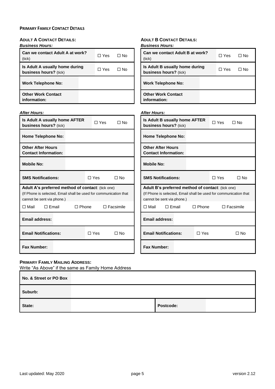### **PRIMARY FAMILY CONTACT DETAILS**

| <b>ADULT A CONTACT DETAILS:</b>                                   | <b>ADULT B CONTACT DETAILS:</b>                                   |
|-------------------------------------------------------------------|-------------------------------------------------------------------|
| <b>Business Hours:</b>                                            | <b>Business Hours:</b>                                            |
| Can we contact Adult A at work?                                   | Can we contact Adult B at work?                                   |
| $\Box$ Yes                                                        | $\Box$ Yes                                                        |
| $\Box$ No                                                         | $\Box$ No                                                         |
| (tick)                                                            | (tick)                                                            |
| Is Adult A usually home during                                    | Is Adult B usually home during                                    |
| $\Box$ No                                                         | $\Box$ Yes                                                        |
| $\Box$ Yes                                                        | $\Box$ No                                                         |
| business hours? (tick)                                            | business hours? (tick)                                            |
| <b>Work Telephone No:</b>                                         | <b>Work Telephone No:</b>                                         |
| <b>Other Work Contact</b>                                         | <b>Other Work Contact</b>                                         |
| information:                                                      | information:                                                      |
| <b>After Hours:</b>                                               | <b>After Hours:</b>                                               |
| Is Adult A usually home AFTER                                     | Is Adult B usually home AFTER                                     |
| $\Box$ Yes                                                        | $\Box$ Yes                                                        |
| $\square$ No                                                      | $\Box$ No                                                         |
| business hours? (tick)                                            | business hours? (tick)                                            |
| <b>Home Telephone No:</b>                                         | <b>Home Telephone No:</b>                                         |
| <b>Other After Hours</b>                                          | <b>Other After Hours</b>                                          |
| <b>Contact Information:</b>                                       | <b>Contact Information:</b>                                       |
| <b>Mobile No:</b>                                                 | <b>Mobile No:</b>                                                 |
| <b>SMS Notifications:</b>                                         | <b>SMS Notifications:</b>                                         |
| $\Box$ Yes                                                        | $\Box$ Yes                                                        |
| $\Box$ No                                                         | $\Box$ No                                                         |
| Adult A's preferred method of contact: (tick one)                 | Adult B's preferred method of contact: (tick one)                 |
| (If Phone is selected, Email shall be used for communication that | (If Phone is selected, Email shall be used for communication that |
| cannot be sent via phone.)                                        | cannot be sent via phone.)                                        |
| $\Box$ Mail                                                       | $\Box$ Email                                                      |
| $\Box$ Email                                                      | $\Box$ Phone                                                      |
| $\Box$ Phone                                                      | $\Box$ Facsimile                                                  |
| $\Box$ Facsimile                                                  | ⊟ Mail                                                            |
| <b>Email address:</b>                                             | <b>Email address:</b>                                             |
| <b>Email Notifications:</b>                                       | <b>Email Notifications:</b>                                       |
| $\Box$ Yes                                                        | $\Box$ Yes                                                        |
| $\square$ No                                                      | $\square$ No                                                      |
| <b>Fax Number:</b>                                                | <b>Fax Number:</b>                                                |

#### **PRIMARY FAMILY MAILING ADDRESS:**

Write "As Above" if the same as Family Home Address

| No. & Street or PO Box |           |  |
|------------------------|-----------|--|
| Suburb:                |           |  |
| State:                 | Postcode: |  |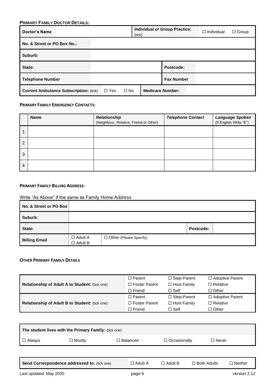| <b>PRIMARY FAMILY DOCTOR DETAILS:</b>         |            |           |                         |                                      |                   |              |  |  |  |
|-----------------------------------------------|------------|-----------|-------------------------|--------------------------------------|-------------------|--------------|--|--|--|
| <b>Doctor's Name</b>                          |            |           | (tick)                  | <b>Individual or Group Practice:</b> | $\Box$ Individual | $\Box$ Group |  |  |  |
| No. & Street or PO Box No.:                   |            |           |                         |                                      |                   |              |  |  |  |
| Suburb:                                       |            |           |                         |                                      |                   |              |  |  |  |
| State:                                        |            |           |                         | Postcode:                            |                   |              |  |  |  |
| <b>Telephone Number</b>                       |            |           |                         | <b>Fax Number</b>                    |                   |              |  |  |  |
| <b>Current Ambulance Subscription: (tick)</b> | $\Box$ Yes | $\Box$ No | <b>Medicare Number:</b> |                                      |                   |              |  |  |  |

#### **PRIMARY FAMILY EMERGENCY CONTACTS:**

|   | <b>Name</b> | <b>Relationship</b><br>(Neighbour, Relative, Friend or Other) | <b>Telephone Contact</b> | Language Spoken<br>(If English Write "E") |
|---|-------------|---------------------------------------------------------------|--------------------------|-------------------------------------------|
|   |             |                                                               |                          |                                           |
| 2 |             |                                                               |                          |                                           |
| 3 |             |                                                               |                          |                                           |
| 4 |             |                                                               |                          |                                           |

#### **PRIMARY FAMILY BILLING ADDRESS:**

#### Write "As Above" if the same as Family Home Address

| No. & Street or PO Box |                                  |                               |           |  |
|------------------------|----------------------------------|-------------------------------|-----------|--|
| Suburb:                |                                  |                               |           |  |
| State:                 |                                  |                               | Postcode: |  |
| <b>Billing Email</b>   | $\Box$ Adult A<br>$\Box$ Adult B | $\Box$ Other (Please Specify) |           |  |

#### **OTHER PRIMARY FAMILY DETAILS**

|                                                       | $\Box$ Parent        | $\Box$ Step-Parent | $\Box$ Adoptive Parent |
|-------------------------------------------------------|----------------------|--------------------|------------------------|
| Relationship of Adult A to Student: (tick one)        | $\Box$ Foster Parent | $\Box$ Host Family | $\Box$ Relative        |
|                                                       | $\Box$ Friend        | $\Box$ Self        | $\Box$ Other           |
|                                                       | $\Box$ Parent        | $\Box$ Step-Parent | $\Box$ Adoptive Parent |
| <b>Relationship of Adult B to Student: (tick one)</b> | $\Box$ Foster Parent | $\Box$ Host Family | $\Box$ Relative        |
|                                                       | $\Box$ Friend        | $\Box$ Self        | $\Box$ Other           |

| The student lives with the Primary Family: (tick one) |          |            |                     |         |  |  |  |
|-------------------------------------------------------|----------|------------|---------------------|---------|--|--|--|
| □ Always                                              | Mostly ⊡ | □ Balanced | $\Box$ Occasionally | ⊟ Never |  |  |  |
|                                                       |          |            |                     |         |  |  |  |

**Send Correspondence addressed to:** (tick one)  $\Box$  Adult A  $\Box$  Adult B  $\Box$  Both Adults  $\Box$  Neither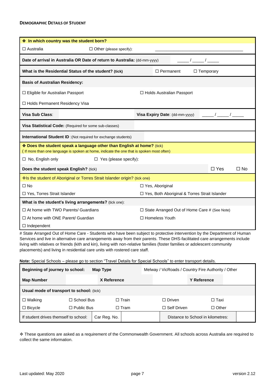| ❖ In which country was the student born?                                                                                                                                                                                                                                                                                                                                                         |                                                                                                                                                                     |                                                                                                                                                                                                                                                                                                                                                                                          |  |  |  |  |
|--------------------------------------------------------------------------------------------------------------------------------------------------------------------------------------------------------------------------------------------------------------------------------------------------------------------------------------------------------------------------------------------------|---------------------------------------------------------------------------------------------------------------------------------------------------------------------|------------------------------------------------------------------------------------------------------------------------------------------------------------------------------------------------------------------------------------------------------------------------------------------------------------------------------------------------------------------------------------------|--|--|--|--|
| $\Box$ Australia                                                                                                                                                                                                                                                                                                                                                                                 | $\Box$ Other (please specify):                                                                                                                                      |                                                                                                                                                                                                                                                                                                                                                                                          |  |  |  |  |
| Date of arrival in Australia OR Date of return to Australia: (dd-mm-yyyy)<br>$\frac{1}{2}$ $\frac{1}{2}$ $\frac{1}{2}$ $\frac{1}{2}$ $\frac{1}{2}$ $\frac{1}{2}$ $\frac{1}{2}$ $\frac{1}{2}$ $\frac{1}{2}$ $\frac{1}{2}$ $\frac{1}{2}$ $\frac{1}{2}$ $\frac{1}{2}$ $\frac{1}{2}$ $\frac{1}{2}$ $\frac{1}{2}$ $\frac{1}{2}$ $\frac{1}{2}$ $\frac{1}{2}$ $\frac{1}{2}$ $\frac{1}{2}$ $\frac{1}{2}$ |                                                                                                                                                                     |                                                                                                                                                                                                                                                                                                                                                                                          |  |  |  |  |
|                                                                                                                                                                                                                                                                                                                                                                                                  | What is the Residential Status of the student? (tick)                                                                                                               | $\Box$ Temporary<br>$\Box$ Permanent                                                                                                                                                                                                                                                                                                                                                     |  |  |  |  |
| <b>Basis of Australian Residency:</b>                                                                                                                                                                                                                                                                                                                                                            |                                                                                                                                                                     |                                                                                                                                                                                                                                                                                                                                                                                          |  |  |  |  |
| □ Eligible for Australian Passport<br>$\Box$ Holds Australian Passport                                                                                                                                                                                                                                                                                                                           |                                                                                                                                                                     |                                                                                                                                                                                                                                                                                                                                                                                          |  |  |  |  |
| □ Holds Permanent Residency Visa                                                                                                                                                                                                                                                                                                                                                                 |                                                                                                                                                                     |                                                                                                                                                                                                                                                                                                                                                                                          |  |  |  |  |
| Visa Sub Class:                                                                                                                                                                                                                                                                                                                                                                                  |                                                                                                                                                                     | $\frac{1}{\sqrt{2}}$ , $\frac{1}{\sqrt{2}}$ , $\frac{1}{\sqrt{2}}$ , $\frac{1}{\sqrt{2}}$ , $\frac{1}{\sqrt{2}}$ , $\frac{1}{\sqrt{2}}$ , $\frac{1}{\sqrt{2}}$ , $\frac{1}{\sqrt{2}}$ , $\frac{1}{\sqrt{2}}$ , $\frac{1}{\sqrt{2}}$ , $\frac{1}{\sqrt{2}}$ , $\frac{1}{\sqrt{2}}$ , $\frac{1}{\sqrt{2}}$ , $\frac{1}{\sqrt{2}}$ , $\frac{1}{\sqrt{2}}$<br>Visa Expiry Date: (dd-mm-yyyy) |  |  |  |  |
|                                                                                                                                                                                                                                                                                                                                                                                                  | Visa Statistical Code: (Required for some sub-classes)                                                                                                              |                                                                                                                                                                                                                                                                                                                                                                                          |  |  |  |  |
|                                                                                                                                                                                                                                                                                                                                                                                                  | <b>International Student ID</b> : (Not required for exchange students)                                                                                              |                                                                                                                                                                                                                                                                                                                                                                                          |  |  |  |  |
|                                                                                                                                                                                                                                                                                                                                                                                                  | ◆ Does the student speak a language other than English at home? (tick)<br>(If more than one language is spoken at home, indicate the one that is spoken most often) |                                                                                                                                                                                                                                                                                                                                                                                          |  |  |  |  |
| $\Box$ No, English only                                                                                                                                                                                                                                                                                                                                                                          | $\Box$ Yes (please specify):                                                                                                                                        |                                                                                                                                                                                                                                                                                                                                                                                          |  |  |  |  |
|                                                                                                                                                                                                                                                                                                                                                                                                  | Does the student speak English? (tick)                                                                                                                              | $\Box$ Yes<br>$\Box$ No                                                                                                                                                                                                                                                                                                                                                                  |  |  |  |  |
|                                                                                                                                                                                                                                                                                                                                                                                                  | Is the student of Aboriginal or Torres Strait Islander origin? (tick one)                                                                                           |                                                                                                                                                                                                                                                                                                                                                                                          |  |  |  |  |
| $\square$ No                                                                                                                                                                                                                                                                                                                                                                                     |                                                                                                                                                                     | □ Yes, Aboriginal                                                                                                                                                                                                                                                                                                                                                                        |  |  |  |  |
| □ Yes, Torres Strait Islander                                                                                                                                                                                                                                                                                                                                                                    |                                                                                                                                                                     | □ Yes, Both Aboriginal & Torres Strait Islander                                                                                                                                                                                                                                                                                                                                          |  |  |  |  |
| What is the student's living arrangements? (tick one):                                                                                                                                                                                                                                                                                                                                           |                                                                                                                                                                     |                                                                                                                                                                                                                                                                                                                                                                                          |  |  |  |  |
| $\Box$ At home with TWO Parents/ Guardians<br>$\Box$ State Arranged Out of Home Care # (See Note)                                                                                                                                                                                                                                                                                                |                                                                                                                                                                     |                                                                                                                                                                                                                                                                                                                                                                                          |  |  |  |  |
|                                                                                                                                                                                                                                                                                                                                                                                                  | $\Box$ At home with ONE Parent/ Guardian<br>□ Homeless Youth                                                                                                        |                                                                                                                                                                                                                                                                                                                                                                                          |  |  |  |  |
| $\Box$ Independent                                                                                                                                                                                                                                                                                                                                                                               |                                                                                                                                                                     |                                                                                                                                                                                                                                                                                                                                                                                          |  |  |  |  |

# State Arranged Out of Home Care - Students who have been subject to protective intervention by the Department of Human Services and live in alternative care arrangements away from their parents. These DHS-facilitated care arrangements include living with relatives or friends (kith and kin), living with non-relative families (foster families or adolescent community placements) and living in residential care units with rostered care staff.

**Note:** Special Schools – please go to section "Travel Details for Special Schools" to enter transport details.

| <b>Beginning of journey to school:</b><br>Map Type |                   |  |                 |                                   | Melway / VicRoads / Country Fire Authority / Other |  |  |  |
|----------------------------------------------------|-------------------|--|-----------------|-----------------------------------|----------------------------------------------------|--|--|--|
| <b>Map Number</b>                                  | X Reference       |  |                 |                                   | Y Reference                                        |  |  |  |
| Usual mode of transport to school: (tick)          |                   |  |                 |                                   |                                                    |  |  |  |
| $\Box$ Walking                                     | $\Box$ School Bus |  | $\square$ Train | $\Box$ Driven                     | $\Box$ Taxi                                        |  |  |  |
| $\Box$ Bicycle<br>$\Box$ Public Bus                |                   |  | $\Box$ Tram     | $\Box$ Self Driven                | $\Box$ Other                                       |  |  |  |
| If student drives themself to school:              | Car Reg. No.      |  |                 | Distance to School in kilometres: |                                                    |  |  |  |

❖ These questions are asked as a requirement of the Commonwealth Government. All schools across Australia are required to collect the same information.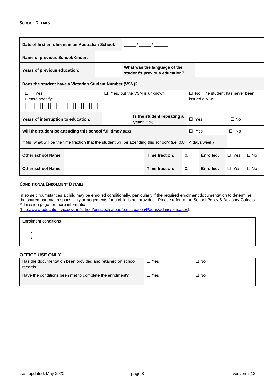| Date of first enrolment in an Australian School:                                                                            |  |                                                                      |                |                            |            |           |            |           |
|-----------------------------------------------------------------------------------------------------------------------------|--|----------------------------------------------------------------------|----------------|----------------------------|------------|-----------|------------|-----------|
| Name of previous School/Kinder:                                                                                             |  |                                                                      |                |                            |            |           |            |           |
| Years of previous education:                                                                                                |  | What was the language of the<br>student's previous education?        |                |                            |            |           |            |           |
| Does the student have a Victorian Student Number (VSN)?                                                                     |  |                                                                      |                |                            |            |           |            |           |
| Yes.<br>Yes, but the VSN is unknown<br>$\Box$ No. The student has never been<br>п<br>П.<br>issued a VSN.<br>Please specify: |  |                                                                      |                |                            |            |           |            |           |
| Years of interruption to education:                                                                                         |  |                                                                      | $year?$ (tick) | Is the student repeating a | $\Box$ Yes |           | $\Box$ No  |           |
| Will the student be attending this school full time? (tick)                                                                 |  |                                                                      |                |                            | $\Box$ Yes |           | $\Box$ No  |           |
| If No, what will be the time fraction that the student will be attending this school? (i.e: $0.8 = 4$ days/week)            |  |                                                                      |                |                            |            |           |            |           |
| <b>Other school Name:</b>                                                                                                   |  | Time fraction:<br>Enrolled:<br>$\Omega$ .<br>$\Box$ Yes<br>$\Box$ No |                |                            |            |           |            |           |
| <b>Other school Name:</b>                                                                                                   |  |                                                                      |                | Time fraction:             | $\Omega$ . | Enrolled: | $\Box$ Yes | $\Box$ No |

#### **CONDITIONAL ENROLMENT DETAILS**

In some circumstances a child may be enrolled conditionally, particularly if the required enrolment documentation to determine the shared parental responsibility arrangements for a child is not provided. Please refer to the School Policy & Advisory Guide's Admission page for more information

[\(http://www.education.vic.gov.au/school/principals/spag/participation/Pages/admission.aspx\)](http://www.education.vic.gov.au/school/principals/spag/participation/Pages/admission.aspx).

| <b>Enrolment conditions</b> |  |  |
|-----------------------------|--|--|
|                             |  |  |
|                             |  |  |
|                             |  |  |

#### **OFFICE USE ONLY**

| Has the documentation been provided and retained on school<br>records? | ⊟ Yes | $\Box$ No |
|------------------------------------------------------------------------|-------|-----------|
| Have the conditions been met to complete the enrolment?                | ∃ Yes | $\Box$ No |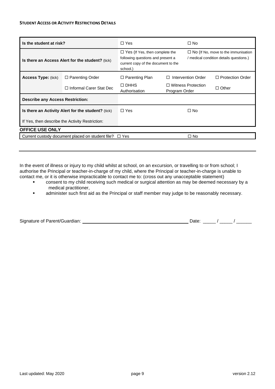#### **STUDENT ACCESS OR ACTIVITY RESTRICTIONS DETAILS**

| Is the student at risk?                          |                                                        | $\Box$ Yes                                                                                                                    |               | $\square$ No                                                                          |                         |
|--------------------------------------------------|--------------------------------------------------------|-------------------------------------------------------------------------------------------------------------------------------|---------------|---------------------------------------------------------------------------------------|-------------------------|
| Is there an Access Alert for the student? (tick) |                                                        | $\Box$ Yes (If Yes, then complete the<br>following questions and present a<br>current copy of the document to the<br>school.) |               | $\Box$ No (If No, move to the immunisation<br>/ medical condition details questions.) |                         |
| <b>Access Type: (tick)</b>                       | $\Box$ Parenting Order                                 | $\Box$ Parenting Plan                                                                                                         | П             | <b>Intervention Order</b>                                                             | $\Box$ Protection Order |
|                                                  | $\Box$ Informal Carer Stat Dec                         | $\Box$ DHHS<br>Authorisation                                                                                                  | Program Order | $\Box$ Witness Protection                                                             | $\Box$ Other            |
| <b>Describe any Access Restriction:</b>          |                                                        |                                                                                                                               |               |                                                                                       |                         |
|                                                  | Is there an Activity Alert for the student? (tick)     | $\Box$ Yes                                                                                                                    |               | $\square$ No                                                                          |                         |
|                                                  | If Yes, then describe the Activity Restriction:        |                                                                                                                               |               |                                                                                       |                         |
| <b>OFFICE USE ONLY</b>                           |                                                        |                                                                                                                               |               |                                                                                       |                         |
|                                                  | Current custody document placed on student file? □ Yes |                                                                                                                               |               | $\square$ No                                                                          |                         |
|                                                  |                                                        |                                                                                                                               |               |                                                                                       |                         |

In the event of illness or injury to my child whilst at school, on an excursion, or travelling to or from school; I authorise the Principal or teacher-in-charge of my child, where the Principal or teacher-in-charge is unable to contact me, or it is otherwise impracticable to contact me to: (cross out any unacceptable statement)

- consent to my child receiving such medical or surgical attention as may be deemed necessary by a medical practitioner,
- **■** administer such first aid as the Principal or staff member may judge to be reasonably necessary.

|  | Signature of Parent/Guardian: |
|--|-------------------------------|
|--|-------------------------------|

 $S = \frac{S}{S}$  Date: \_\_\_\_\_ / \_\_\_\_\_ / \_\_\_\_\_\_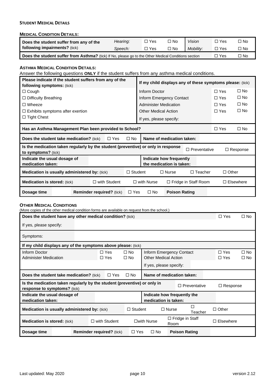#### **STUDENT MEDICAL DETAILS**

#### **MEDICAL CONDITION DETAILS:**

| Does the student suffer from any of the                                                                     | Hearing: | ∃ Yes | oИ ⊏ | Vision    | Yes   | l No |
|-------------------------------------------------------------------------------------------------------------|----------|-------|------|-----------|-------|------|
| following impairments? (tick)                                                                               | Speech:  | ∏ Yes | □ No | Mobility: | ∃ Yes | l No |
| <b>Does the student suffer from Asthma?</b> (tick) If No, please go to the Other Medical Conditions section |          |       |      |           |       | No.  |

**Does the student suffer from Asthma?** (tick) If No, please go to the Other Medical Conditions section  $\Box$  Yes  $\Box$  No **ASTHMA MEDICAL CONDITION DETAILS:** Answer the following questions **ONLY** if the student suffers from any asthma medical conditions. **Please indicate if the student suffers from any of the following symptoms:** (tick) **If my child displays any of these symptoms please:** (tick) □ Cough Inform Doctor Inform Doctor コYes □ No □ Difficulty Breathing <br>
Inform Emergency Contact 
□ Yes □ No  $\Box$  Wheeze  $\Box$  No  $\Box$  Yes  $\Box$  No  $\square$  Exhibits symptoms after exertion  $\square$  Other Medical Action  $\square$  Yes  $\square$  No  $\Box$  Tight Chest  $\Box$  Tight Chest **Has an Asthma Management Plan been provided to School?** Yes No **Does the student take medication?** (tick)  $\Box$  Yes  $\Box$  No **Name of medication taken: Is the medication taken regularly by the student (preventive) or only in response to symptoms?** (tick)  $\Box$  Preventative  $\Box$  Response **Indicate the usual dosage of medication taken: Indicate how frequently the medication is taken: Medication is usually administered by:** (tick)  $\square$  Student  $\square$  Nurse  $\square$  Teacher  $\square$  Other **Medication is stored:** (tick) with Student with Nurse Fridge in Staff Room Elsewhere **Dosage time Reminder required?** (tick) □ Yes □ No **Poison Rating** 

#### **OTHER MEDICAL CONDITIONS**

| (More copies of the other medical condition forms are available on request from the school.) |                                                                          |                                  |                     |                             |                      |                 |              |
|----------------------------------------------------------------------------------------------|--------------------------------------------------------------------------|----------------------------------|---------------------|-----------------------------|----------------------|-----------------|--------------|
|                                                                                              | Does the student have any other medical condition? (tick)                |                                  |                     |                             |                      | $\Box$ Yes      | $\square$ No |
| If yes, please specify:                                                                      |                                                                          |                                  |                     |                             |                      |                 |              |
| Symptoms:                                                                                    |                                                                          |                                  |                     |                             |                      |                 |              |
| If my child displays any of the symptoms above please: (tick)                                |                                                                          |                                  |                     |                             |                      |                 |              |
| Inform Doctor                                                                                |                                                                          | $\Box$ Yes                       | $\square$ No        | Inform Emergency Contact    |                      | $\Box$ Yes      | $\square$ No |
| <b>Administer Medication</b>                                                                 |                                                                          | $\Box$ Yes                       | $\square$ No        | <b>Other Medical Action</b> |                      | $\Box$ Yes      | $\square$ No |
|                                                                                              |                                                                          |                                  |                     | If yes, please specify:     |                      |                 |              |
|                                                                                              | <b>Does the student take medication?</b> (tick)                          | $\Box$ Yes                       | $\square$ No        | Name of medication taken:   |                      |                 |              |
| response to symptoms? (tick)                                                                 | Is the medication taken regularly by the student (preventive) or only in |                                  |                     |                             | □ Preventative       | $\Box$ Response |              |
| Indicate the usual dosage of                                                                 |                                                                          |                                  |                     | Indicate how frequently the |                      |                 |              |
| medication taken:                                                                            |                                                                          |                                  |                     | medication is taken:        |                      |                 |              |
| Medication is usually administered by: (tick)                                                |                                                                          |                                  | $\Box$ Student      | $\Box$ Nurse                | П<br>Teacher         | $\Box$ Other    |              |
| $\Box$ with Student<br><b>Medication is stored: (tick)</b>                                   |                                                                          |                                  | □with Nurse<br>Room | $\Box$ Fridge in Staff      | $\Box$ Elsewhere     |                 |              |
| Dosage time                                                                                  |                                                                          | <b>Reminder required?</b> (tick) | $\Box$ Yes          | $\square$ No                | <b>Poison Rating</b> |                 |              |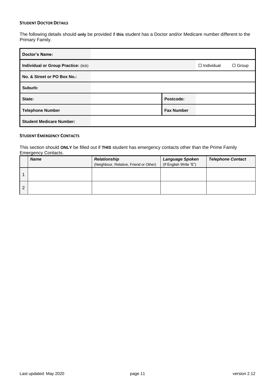#### **STUDENT DOCTOR DETAILS**

The following details should **only** be provided if **this** student has a Doctor and/or Medicare number different to the Primary Family.

| <b>Doctor's Name:</b>                |                   |                   |              |
|--------------------------------------|-------------------|-------------------|--------------|
| Individual or Group Practice: (tick) |                   | $\Box$ Individual | $\Box$ Group |
| No. & Street or PO Box No.:          |                   |                   |              |
| Suburb:                              |                   |                   |              |
| State:                               | Postcode:         |                   |              |
| <b>Telephone Number</b>              | <b>Fax Number</b> |                   |              |
| <b>Student Medicare Number:</b>      |                   |                   |              |

#### **STUDENT EMERGENCY CONTACTS**

This section should **ONLY** be filled out if **THIS** student has emergency contacts other than the Prime Family Emergency Contacts.

|   | <b>Name</b> | <b>Relationship</b><br>(Neighbour, Relative, Friend or Other) | Language Spoken<br>(If English Write "E") | <b>Telephone Contact</b> |
|---|-------------|---------------------------------------------------------------|-------------------------------------------|--------------------------|
|   |             |                                                               |                                           |                          |
| റ |             |                                                               |                                           |                          |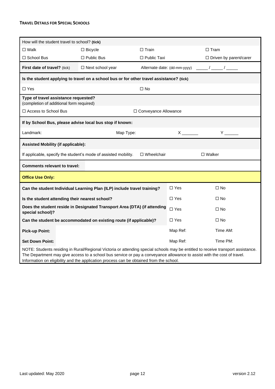#### **TRAVEL DETAILS FOR SPECIAL SCHOOLS**

| How will the student travel to school? (tick)                                                                                                                                                                                                                                                                                                          |                                                                                          |                                |                                                                                                                                                                                                                                                                                                                                                                                                                                   |                                            |
|--------------------------------------------------------------------------------------------------------------------------------------------------------------------------------------------------------------------------------------------------------------------------------------------------------------------------------------------------------|------------------------------------------------------------------------------------------|--------------------------------|-----------------------------------------------------------------------------------------------------------------------------------------------------------------------------------------------------------------------------------------------------------------------------------------------------------------------------------------------------------------------------------------------------------------------------------|--------------------------------------------|
| $\square$ Walk                                                                                                                                                                                                                                                                                                                                         | $\Box$ Bicycle                                                                           | $\square$ Train<br>$\Box$ Tram |                                                                                                                                                                                                                                                                                                                                                                                                                                   |                                            |
| $\Box$ School Bus                                                                                                                                                                                                                                                                                                                                      | $\Box$ Public Bus                                                                        | $\Box$ Public Taxi             |                                                                                                                                                                                                                                                                                                                                                                                                                                   | $\Box$ Driven by parent/carer              |
| First date of travel? (tick)                                                                                                                                                                                                                                                                                                                           | □ Next school year                                                                       |                                |                                                                                                                                                                                                                                                                                                                                                                                                                                   | Alternate date: (dd-mm-yyyy) _____/ _____/ |
|                                                                                                                                                                                                                                                                                                                                                        | Is the student applying to travel on a school bus or for other travel assistance? (tick) |                                |                                                                                                                                                                                                                                                                                                                                                                                                                                   |                                            |
| $\Box$ Yes                                                                                                                                                                                                                                                                                                                                             |                                                                                          | $\Box$ No                      |                                                                                                                                                                                                                                                                                                                                                                                                                                   |                                            |
| Type of travel assistance requested?<br>(completion of additional form required)                                                                                                                                                                                                                                                                       |                                                                                          |                                |                                                                                                                                                                                                                                                                                                                                                                                                                                   |                                            |
| □ Access to School Bus                                                                                                                                                                                                                                                                                                                                 | □ Conveyance Allowance                                                                   |                                |                                                                                                                                                                                                                                                                                                                                                                                                                                   |                                            |
| If by School Bus, please advise local bus stop if known:                                                                                                                                                                                                                                                                                               |                                                                                          |                                |                                                                                                                                                                                                                                                                                                                                                                                                                                   |                                            |
| Landmark:                                                                                                                                                                                                                                                                                                                                              | Map Type:                                                                                |                                | $\boldsymbol{\mathsf{X}}$ and $\boldsymbol{\mathsf{X}}$ and $\boldsymbol{\mathsf{X}}$ and $\boldsymbol{\mathsf{X}}$ and $\boldsymbol{\mathsf{X}}$ and $\boldsymbol{\mathsf{X}}$ and $\boldsymbol{\mathsf{X}}$ and $\boldsymbol{\mathsf{X}}$ and $\boldsymbol{\mathsf{X}}$ and $\boldsymbol{\mathsf{X}}$ and $\boldsymbol{\mathsf{X}}$ and $\boldsymbol{\mathsf{X}}$ and $\boldsymbol{\mathsf{X}}$ and $\boldsymbol{\mathsf{X}}$ a | $Y \sim$                                   |
| <b>Assisted Mobility (if applicable):</b>                                                                                                                                                                                                                                                                                                              |                                                                                          |                                |                                                                                                                                                                                                                                                                                                                                                                                                                                   |                                            |
| $\square$ Walker<br>If applicable, specify the student's mode of assisted mobility.<br>$\Box$ Wheelchair                                                                                                                                                                                                                                               |                                                                                          |                                |                                                                                                                                                                                                                                                                                                                                                                                                                                   |                                            |
|                                                                                                                                                                                                                                                                                                                                                        | <b>Comments relevant to travel:</b>                                                      |                                |                                                                                                                                                                                                                                                                                                                                                                                                                                   |                                            |
| <b>Office Use Only:</b>                                                                                                                                                                                                                                                                                                                                |                                                                                          |                                |                                                                                                                                                                                                                                                                                                                                                                                                                                   |                                            |
|                                                                                                                                                                                                                                                                                                                                                        | Can the student Individual Learning Plan (ILP) include travel training?                  |                                | $\Box$ Yes                                                                                                                                                                                                                                                                                                                                                                                                                        | $\Box$ No                                  |
| Is the student attending their nearest school?                                                                                                                                                                                                                                                                                                         |                                                                                          |                                | $\Box$ Yes                                                                                                                                                                                                                                                                                                                                                                                                                        | $\Box$ No                                  |
| special school)?                                                                                                                                                                                                                                                                                                                                       | Does the student reside in Designated Transport Area (DTA) (if attending                 |                                | $\Box$ Yes                                                                                                                                                                                                                                                                                                                                                                                                                        | $\Box$ No                                  |
|                                                                                                                                                                                                                                                                                                                                                        | Can the student be accommodated on existing route (if applicable)?                       |                                | $\Box$ Yes                                                                                                                                                                                                                                                                                                                                                                                                                        | $\Box$ No                                  |
| <b>Pick-up Point:</b>                                                                                                                                                                                                                                                                                                                                  |                                                                                          |                                | Map Ref:                                                                                                                                                                                                                                                                                                                                                                                                                          | Time AM:                                   |
| <b>Set Down Point:</b>                                                                                                                                                                                                                                                                                                                                 |                                                                                          |                                | Map Ref:                                                                                                                                                                                                                                                                                                                                                                                                                          | Time PM:                                   |
| NOTE: Students residing in Rural/Regional Victoria or attending special schools may be entitled to receive transport assistance.<br>The Department may give access to a school bus service or pay a conveyance allowance to assist with the cost of travel.<br>Information on eligibility and the application process can be obtained from the school. |                                                                                          |                                |                                                                                                                                                                                                                                                                                                                                                                                                                                   |                                            |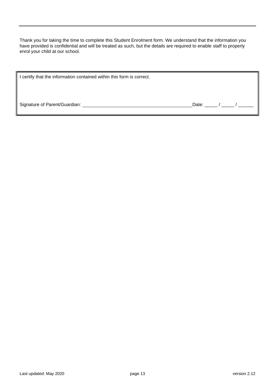Thank you for taking the time to complete this Student Enrolment form. We understand that the information you have provided is confidential and will be treated as such, but the details are required to enable staff to properly enrol your child at our school.

| I certify that the information contained within this form is correct. |       |  |
|-----------------------------------------------------------------------|-------|--|
| Signature of Parent/Guardian: ______________                          | Date: |  |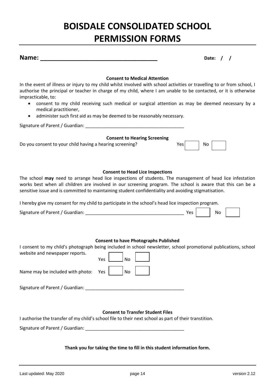# **BOISDALE CONSOLIDATED SCHOOL PERMISSION FORMS**

|  | Name: |  |
|--|-------|--|
|  |       |  |

**Name: \_\_\_\_\_\_\_\_\_\_\_\_\_\_\_\_\_\_\_\_\_\_\_\_\_\_\_\_\_\_\_\_\_\_ Date: / /**

#### **Consent to Medical Attention**

In the event of illness or injury to my child whilst involved with school activities or travelling to or from school, I authorise the principal or teacher in charge of my child, where I am unable to be contacted, or it is otherwise impracticable, to:

- consent to my child receiving such medical or surgical attention as may be deemed necessary by a medical practitioner,
- administer such first aid as may be deemed to be reasonably necessary.

| Signature of Parent / Guardian:                          |       |           |  |
|----------------------------------------------------------|-------|-----------|--|
| <b>Consent to Hearing Screening</b>                      |       |           |  |
| Do you consent to your child having a hearing screening? | Yes l | <b>No</b> |  |

#### **Consent to Head Lice Inspections**

The school **may** need to arrange head lice inspections of students. The management of head lice infestation works best when all children are involved in our screening program. The school is aware that this can be a sensitive issue and is committed to maintaining student confidentiality and avoiding stigmatisation.

I hereby give my consent for my child to participate in the school's head lice inspection program.

| $\sim$<br>' Guardian:<br>Signature of Parent |  | N |  |  |
|----------------------------------------------|--|---|--|--|
|----------------------------------------------|--|---|--|--|

#### **Consent to have Photographs Published**

| website and newspaper reports.       | I consent to my child's photograph being included in school newsletter, school promotional publications, school |
|--------------------------------------|-----------------------------------------------------------------------------------------------------------------|
|                                      | N <sub>o</sub><br>Yes                                                                                           |
| Name may be included with photo: Yes | No                                                                                                              |
| Signature of Parent / Guardian:      |                                                                                                                 |
|                                      |                                                                                                                 |

#### **Consent to Transfer Student Files**

I authorise the transfer of my child's school file to their next school as part of their transtition.

Signature of Parent / Guardian:

**Thank you for taking the time to fill in this student information form.**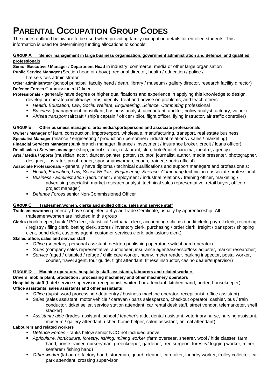# **PARENTAL OCCUPATION GROUP CODES**

The codes outlined below are to be used when providing family occupation details for enrolled students. This information is used for determining funding allocations to schools.

#### **GROUP A Senior management in large business organisation, government administration and defence, and qualified professional**s

**Senior Executive / Manager / Department Head** in industry, commerce, media or other large organisation

**Public Service Manager** (Section head or above), regional director, health / education / police / fire services administrator

**Other administrator** (school principal, faculty head / dean, library / museum / gallery director, research facility director) **Defence Forces** Commissioned Officer

**Professionals** - generally have degree or higher qualifications and experience in applying this knowledge to design,

- develop or operate complex systems; identify, treat and advise on problems; and teach others:
- *Health, Education, Law, Social Welfare, Engineering, Science, Computing* professional
- *Business* (management consultant, business analyst, accountant, auditor, policy analyst, actuary, valuer)
- *Air/sea transport* (aircraft / ship's captain / officer / pilot, flight officer, flying instructor, air traffic controller)

#### **GROUP B Other business managers, arts/media/sportspersons and associate professionals**

**Owner / Manager** of farm, construction, import/export, wholesale, manufacturing, transport, real estate business **Specialist Manager** (finance / engineering / production / personnel / industrial relations / sales / marketing) **Financial Services Manager** (bank branch manager, finance / investment / insurance broker, credit / loans officer) **Retail sales / Services manager** (shop, petrol station, restaurant, club, hotel/motel, cinema, theatre, agency) **Arts / Media / Sports** (musician, actor, dancer, painter, potter, sculptor, journalist, author, media presenter, photographer,

designer, illustrator, proof reader, sportsman/woman, coach, trainer, sports official)

**Associate Professionals** - generally have diploma / technical qualifications and support managers and professionals:

- **Health, Education, Law, Social Welfare, Engineering, Science, Computing technician / associate professional**
- *Business / administration* (recruitment / employment / industrial relations / training officer, marketing / advertising specialist, market research analyst, technical sales representative, retail buyer, office / project manager)
- *Defence Forces* senior Non-Commissioned Officer

#### **GROUP C Tradesmen/women, clerks and skilled office, sales and service staff**

**Tradesmen/women** generally have completed a 4 year Trade Certificate, usually by apprenticeship. All tradesmen/women are included in this group

**Clerks** (bookkeeper, bank / PO clerk, statistical / actuarial clerk, accounting / claims / audit clerk, payroll clerk, recording / registry / filing clerk, betting clerk, stores / inventory clerk, purchasing / order clerk, freight / transport / shipping clerk, bond clerk, customs agent, customer services clerk, admissions clerk)

#### **Skilled office, sales and service staff**:

- *Office* (secretary, personal assistant, desktop publishing operator, switchboard operator)
- *Sales* (company sales representative, auctioneer, insurance agent/assessor/loss adjuster, market researcher)
- *Service* (aged / disabled / refuge / child care worker, nanny, meter reader, parking inspector, postal worker, courier, travel agent, tour guide, flight attendant, fitness instructor, casino dealer/supervisor)

#### **GROUP D Machine operators, hospitality staff, assistants, labourers and related workers**

#### **Drivers, mobile plant, production / processing machinery and other machinery operators**

**Hospitality staff** (hotel service supervisor, receptionist, waiter, bar attendant, kitchen hand, porter, housekeeper) **Office assistants, sales assistants and other assistants**:

- *Office* (typist, word processing / data entry / business machine operator, receptionist, office assistant)
- *Sales* (sales assistant, motor vehicle / caravan / parts salesperson, checkout operator, cashier, bus / train conductor, ticket seller, service station attendant, car rental desk staff, street vendor, telemarketer, shelf stacker)
- *Assistant / aide* (trades' assistant, school / teacher's aide, dental assistant, veterinary nurse, nursing assistant, museum / gallery attendant, usher, home helper, salon assistant, animal attendant)

#### **Labourers and related workers**

- *Defence Forces* ranks below senior NCO not included above
- *Agriculture, horticulture, forestry, fishing, mining worker* (farm overseer, shearer, wool / hide classer, farm hand, horse trainer, nurseryman, greenkeeper, gardener, tree surgeon, forestry/ logging worker, miner, seafarer / fishing hand)
- Other worker (labourer, factory hand, storeman, guard, cleaner, caretaker, laundry worker, trolley collector, car park attendant, crossing supervisor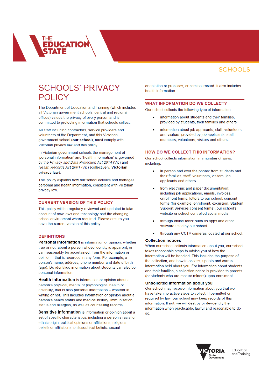### **SCHOOLS' PRIVACY POLICY**

**ICATIO** 

The Department of Education and Training (which includes all Victorian government schools, central and regional offices) values the privacy of every person and is committed to protecting information that schools collect.

All staff including contractors, service providers and volunteers of the Department, and this Victorian government school (our school), must comply with Victorian privacy law and this policy.

In Victorian government schools the management of 'personal information' and 'health information' is governed by the Privacy and Data Protection Act 2014 (Vic) and Health Records Act 2001 (Vic) (collectively, Victorian privacy law)

This policy explains how our school collects and manages personal and health information, consistent with Victorian privacy law.

#### **CURRENT VERSION OF THIS POLICY**

This policy will be regularly reviewed and updated to take account of new laws and technology and the changing school environment when required. Please ensure you have the current version of this policy.

#### **DEFINITIONS**

Personal information is information or opinion, whether true or not, about a person whose identity is apparent, or can reasonably be ascertained, from the information or opinion - that is recorded in any form. For example, a person's name, address, phone number and date of birth (age). De-identified information about students can also be personal information.

Health information is information or opinion about a person's physical, mental or psychological health or disability, that is also personal information - whether in writing or not. This includes information or opinion about a person's health status and medical history, immunisation status and allergies, as well as counselling records

Sensitive information is information or opinion about a set of specific characteristics, including a person's racial or ethnic origin, political opinions or affiliations, religious beliefs or affiliations, philosophical beliefs, sexual

orientation or practices; or criminal record, It also includes health information.

#### **WHAT INFORMATION DO WE COLLECT?**

Our school collects the following type of information:

- information about students and their families. provided by students, their families and others
- information about job applicants, staff, volunteers and visitors; provided by job applicants, staff members, volunteers, visitors and others.

#### HOW DO WE COLLECT THIS INFORMATION?

Our school collects information in a number of ways, including

- in person and over the phone: from students and their families, staff, volunteers, visitors, job applicants and others
- from electronic and paper documentation: including job applications, emails, invoices, enrolment forms, letters to our school, consent forms (for example: enrolment, excursion, Student Support Services consent forms), our school's website or school-controlled social media
- through online tools: such as apps and other software used by our school
- through any CCTV cameras located at our school.

#### **Collection notices**

When our school collects information about you, our school takes reasonable steps to advise you of how the information will be handled. This includes the purpose of the collection, and how to access, update and correct information held about you. For information about students and their families, a collection notice is provided to parents (or students who are mature minors) upon enrolment.

#### **Unsolicited information about you**

Our school may receive information about you that we have taken no active steps to collect. If permitted or required by law, our school may keep records of this information. If not, we will destroy or de-identify the information when practicable, lawful and reasonable to do <sub>SO</sub>



Education and Training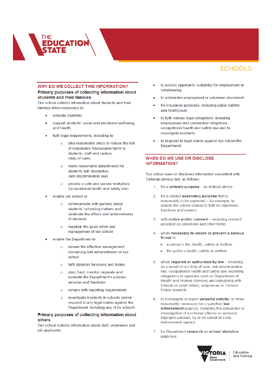

#### WHY DO WE COLLECT THIS INFORMATION?

#### Primary purposes of collecting information about students and their families

Our school collects information about students and their families when necessary to:

- educate students
- support students' social and emotional wellbeing, and health
- fulfil legal requirements, including to:
	- $\circ$ take reasonable steps to reduce the risk of reasonably foreseeable harm to students, staff and visitors (duty of care)
	- $\alpha$ make reasonable adiustments for students with disabilities (anti-discrimination law)
	- provide a safe and secure workplace  $\circ$ (occupational health and safety law)
- enable our school to:
	- $\alpha$ communicate with parents about students' schooling matters and celebrate the efforts and achievements of students
	- maintain the good order and  $\circ$ management of our school
- enable the Department to:
	- ensure the effective management.  $\Omega$ resourcing and administration of our school
	- $\circ$ fulfil statutory functions and duties
	- plan, fund, monitor, regulate and  $\circ$ evaluate the Department's policies, services and functions
	- comply with reporting requirements  $\circ$
	- investigate incidents in schools and/or  $\alpha$ respond to any legal claims against the Department, including any of its schools.

#### Primary purposes of collecting information about others

Our school collects information about staff, volunteers and job applicants:

- to assess applicants' suitability for employment or volunteering
- to administer employment or volunteer placement
- for insurance purposes, including public liability and WorkCover
- to fulfil various legal obligations, including employment and contractual obligations, occupational health and safety law and to investigate incidents
- to respond to legal claims against our school/the Department

#### **WHEN DO WE USE OR DISCLOSE INFORMATION?**

Our school uses or discloses information consistent with Victorian privacy law, as follows:

- 1. for a primary purpose as defined above
- $\mathcal{D}$ for a related secondary purpose that is reasonably to be expected - for example, to enable the school council to fulfil its objectives. functions and powers
- 3 with notice and/or consent - including consent provided on enrolment and other forms
- $\overline{4}$ when necessary to lessen or prevent a serious threat to:
	- a person's life, health, safety or welfare  $\bullet$
	- the public's health, safety or welfare
- when required or authorised by law including  $5<sup>1</sup>$ as a result of our duty of care, anti-discrimination law, occupational health and safety law, reporting obligations to agencies such as Department of Health and Human Services and complying with tribunal or court orders, subpoenas or Victoria Police warrants
- 6 to investigate or report unlawful activity, or when reasonably necessary for a specified law enforcement purpose, including the prevention or investigation of a criminal offence or seriously improper conduct, by or on behalf of a law enforcement agency
- for Department research or school statistics  $7<sub>1</sub>$ purposes



Education and Training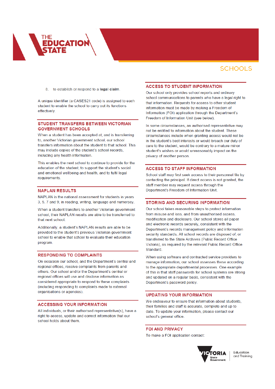8. to establish or respond to a legal claim.

A unique identifier (a CASES21 code) is assigned to each student to enable the school to carry out its functions effectively.

#### STUDENT TRANSFERS BETWEEN VICTORIAN **GOVERNMENT SCHOOLS**

When a student has been accepted at, and is transferring to, another Victorian government school, our school transfers information about the student to that school. This may include copies of the student's school records, including any health information.

This enables the next school to continue to provide for the education of the student, to support the student's social and emotional wellbeing and health, and to fulfil legal requirements.

#### **NAPLAN RESULTS**

NAPLAN is the national assessment for students in years 3, 5, 7 and 9, in reading, writing, language and numeracy.

When a student transfers to another Victorian government school, their NAPLAN results are able to be transferred to that next school

Additionally, a student's NAPLAN results are able to be provided to the student's previous Victorian government school to enable that school to evaluate their education program

#### **RESPONDING TO COMPLAINTS**

On occasion our school, and the Department's central and regional offices, receive complaints from parents and others. Our school and/or the Department's central or regional offices will use and disclose information as considered appropriate to respond to these complaints (including responding to complaints made to external organisations or agencies).

#### **ACCESSING YOUR INFORMATION**

All individuals, or their authorised representative(s), have a right to access, update and correct information that our school holds about them.

#### **ACCESS TO STUDENT INFORMATION**

Our school only provides school reports and ordinary school communications to parents who have a legal right to that information. Requests for access to other student information must be made by making a Freedom of Information (FOI) application through the Department's Freedom of Information Unit (see below).

In some circumstances, an authorised representative may not be entitled to information about the student. These circumstances include when granting access would not be in the student's best interests or would breach our duty of care to the student would be contrary to a mature minor student's wishes or would unreasonably impact on the privacy of another person.

#### **ACCESS TO STAFF INFORMATION**

School staff may first seek access to their personnel file by contacting the principal. If direct access is not granted, the staff member may request access through the Department's Freedom of Information Unit.

#### **STORING AND SECURING INFORMATION**

Our school takes reasonable steps to protect information from misuse and loss, and from unauthorised access, modification and disclosure. Our school stores all paper and electronic records securely, consistent with the Department's records management policy and information security standards. All school records are disposed of, or transferred to the State Archives (Public Record Office Victoria), as required by the relevant Public Record Office Standard.

When using software and contracted service providers to manage information, our school assesses these according to the appropriate departmental processes. One example of this is that staff passwords for school systems are strong and updated on a regular basis, consistent with the Department's password policy.

#### **UPDATING YOUR INFORMATION**

We endeavour to ensure that information about students, their families and staff is accurate, complete and up to date. To update your information, please contact our school's general office.

**FOI AND PRIVACY** To make a FOI application contact:



Education and Training